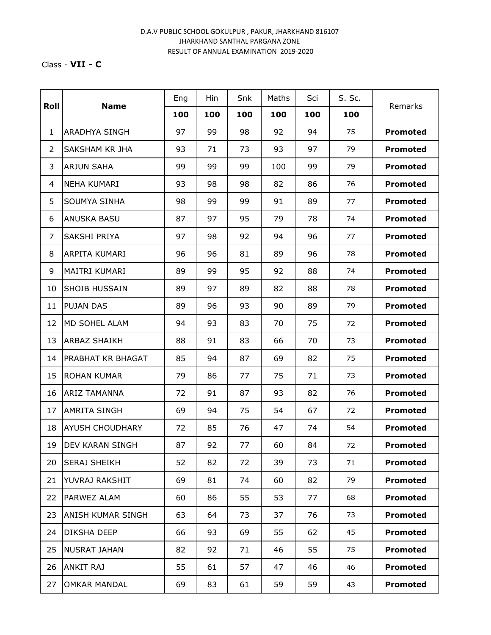## D.A.V PUBLIC SCHOOL GOKULPUR , PAKUR, JHARKHAND 816107 JHARKHAND SANTHAL PARGANA ZONE RESULT OF ANNUAL EXAMINATION 2019-2020

## Class - **VII - C**

| Roll           | <b>Name</b>            | Eng | Hin | Snk | Maths | Sci | S. Sc. | Remarks         |
|----------------|------------------------|-----|-----|-----|-------|-----|--------|-----------------|
|                |                        | 100 | 100 | 100 | 100   | 100 | 100    |                 |
| 1              | <b>ARADHYA SINGH</b>   | 97  | 99  | 98  | 92    | 94  | 75     | <b>Promoted</b> |
| 2              | SAKSHAM KR JHA         | 93  | 71  | 73  | 93    | 97  | 79     | <b>Promoted</b> |
| 3              | <b>ARJUN SAHA</b>      | 99  | 99  | 99  | 100   | 99  | 79     | <b>Promoted</b> |
| 4              | NEHA KUMARI            | 93  | 98  | 98  | 82    | 86  | 76     | <b>Promoted</b> |
| 5              | SOUMYA SINHA           | 98  | 99  | 99  | 91    | 89  | 77     | <b>Promoted</b> |
| 6              | ANUSKA BASU            | 87  | 97  | 95  | 79    | 78  | 74     | <b>Promoted</b> |
| $\overline{7}$ | SAKSHI PRIYA           | 97  | 98  | 92  | 94    | 96  | 77     | <b>Promoted</b> |
| 8              | ARPITA KUMARI          | 96  | 96  | 81  | 89    | 96  | 78     | <b>Promoted</b> |
| 9              | MAITRI KUMARI          | 89  | 99  | 95  | 92    | 88  | 74     | <b>Promoted</b> |
| 10             | <b>SHOIB HUSSAIN</b>   | 89  | 97  | 89  | 82    | 88  | 78     | <b>Promoted</b> |
| 11             | PUJAN DAS              | 89  | 96  | 93  | 90    | 89  | 79     | <b>Promoted</b> |
| 12             | MD SOHEL ALAM          | 94  | 93  | 83  | 70    | 75  | 72     | <b>Promoted</b> |
| 13             | <b>ARBAZ SHAIKH</b>    | 88  | 91  | 83  | 66    | 70  | 73     | <b>Promoted</b> |
| 14             | PRABHAT KR BHAGAT      | 85  | 94  | 87  | 69    | 82  | 75     | <b>Promoted</b> |
| 15             | <b>ROHAN KUMAR</b>     | 79  | 86  | 77  | 75    | 71  | 73     | Promoted        |
| 16             | <b>ARIZ TAMANNA</b>    | 72  | 91  | 87  | 93    | 82  | 76     | <b>Promoted</b> |
| 17             | <b>AMRITA SINGH</b>    | 69  | 94  | 75  | 54    | 67  | 72     | <b>Promoted</b> |
| 18             | <b>AYUSH CHOUDHARY</b> | 72  | 85  | 76  | 47    | 74  | 54     | <b>Promoted</b> |
| 19             | <b>DEV KARAN SINGH</b> | 87  | 92  | 77  | 60    | 84  | 72     | Promoted        |
| 20             | <b>SERAJ SHEIKH</b>    | 52  | 82  | 72  | 39    | 73  | 71     | <b>Promoted</b> |
| 21             | YUVRAJ RAKSHIT         | 69  | 81  | 74  | 60    | 82  | 79     | <b>Promoted</b> |
| 22             | PARWEZ ALAM            | 60  | 86  | 55  | 53    | 77  | 68     | <b>Promoted</b> |
| 23             | ANISH KUMAR SINGH      | 63  | 64  | 73  | 37    | 76  | 73     | <b>Promoted</b> |
| 24             | DIKSHA DEEP            | 66  | 93  | 69  | 55    | 62  | 45     | <b>Promoted</b> |
| 25             | <b>NUSRAT JAHAN</b>    | 82  | 92  | 71  | 46    | 55  | 75     | <b>Promoted</b> |
| 26             | ANKIT RAJ              | 55  | 61  | 57  | 47    | 46  | 46     | <b>Promoted</b> |
| 27             | <b>OMKAR MANDAL</b>    | 69  | 83  | 61  | 59    | 59  | 43     | <b>Promoted</b> |